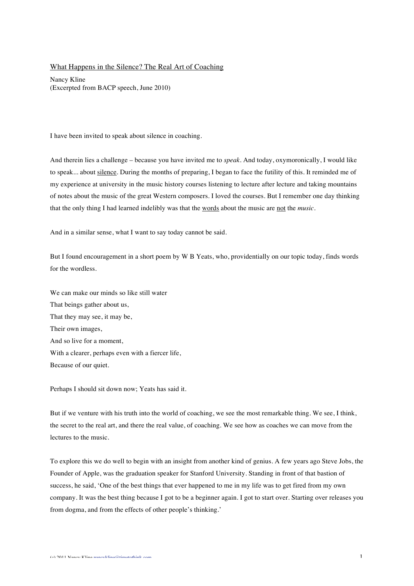## What Happens in the Silence? The Real Art of Coaching

Nancy Kline (Excerpted from BACP speech, June 2010)

I have been invited to speak about silence in coaching.

And therein lies a challenge – because you have invited me to *speak*. And today, oxymoronically, I would like to speak... about silence. During the months of preparing, I began to face the futility of this. It reminded me of my experience at university in the music history courses listening to lecture after lecture and taking mountains of notes about the music of the great Western composers. I loved the courses. But I remember one day thinking that the only thing I had learned indelibly was that the words about the music are not the *music*.

And in a similar sense, what I want to say today cannot be said.

But I found encouragement in a short poem by W B Yeats, who, providentially on our topic today, finds words for the wordless.

We can make our minds so like still water That beings gather about us, That they may see, it may be, Their own images, And so live for a moment, With a clearer, perhaps even with a fiercer life, Because of our quiet.

Perhaps I should sit down now; Yeats has said it.

But if we venture with his truth into the world of coaching, we see the most remarkable thing. We see, I think, the secret to the real art, and there the real value, of coaching. We see how as coaches we can move from the lectures to the music.

To explore this we do well to begin with an insight from another kind of genius. A few years ago Steve Jobs, the Founder of Apple, was the graduation speaker for Stanford University. Standing in front of that bastion of success, he said, 'One of the best things that ever happened to me in my life was to get fired from my own company. It was the best thing because I got to be a beginner again. I got to start over. Starting over releases you from dogma, and from the effects of other people's thinking.'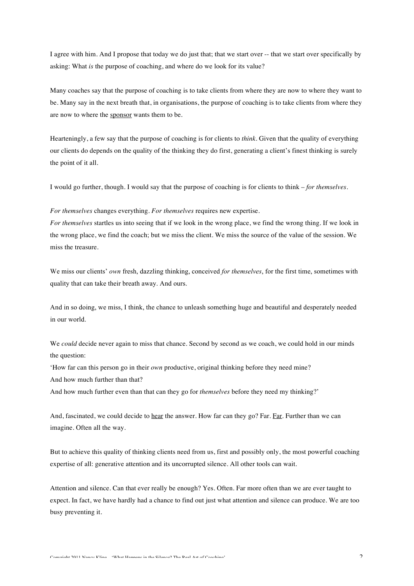I agree with him. And I propose that today we do just that; that we start over -- that we start over specifically by asking: What *is* the purpose of coaching, and where do we look for its value?

Many coaches say that the purpose of coaching is to take clients from where they are now to where they want to be. Many say in the next breath that, in organisations, the purpose of coaching is to take clients from where they are now to where the sponsor wants them to be.

Hearteningly, a few say that the purpose of coaching is for clients to *think*. Given that the quality of everything our clients do depends on the quality of the thinking they do first, generating a client's finest thinking is surely the point of it all.

I would go further, though. I would say that the purpose of coaching is for clients to think – *for themselves*.

## *For themselves* changes everything. *For themselves* requires new expertise.

*For themselves* startles us into seeing that if we look in the wrong place, we find the wrong thing. If we look in the wrong place, we find the coach; but we miss the client. We miss the source of the value of the session. We miss the treasure.

We miss our clients' *own* fresh, dazzling thinking, conceived *for themselves*, for the first time, sometimes with quality that can take their breath away. And ours.

And in so doing, we miss, I think, the chance to unleash something huge and beautiful and desperately needed in our world.

We *could* decide never again to miss that chance. Second by second as we coach, we could hold in our minds the question:

'How far can this person go in their *own* productive, original thinking before they need mine?

And how much further than that?

And how much further even than that can they go for *themselves* before they need my thinking?'

And, fascinated, we could decide to hear the answer. How far can they go? Far. Far. Further than we can imagine. Often all the way.

But to achieve this quality of thinking clients need from us, first and possibly only, the most powerful coaching expertise of all: generative attention and its uncorrupted silence. All other tools can wait.

Attention and silence. Can that ever really be enough? Yes. Often. Far more often than we are ever taught to expect. In fact, we have hardly had a chance to find out just what attention and silence can produce. We are too busy preventing it.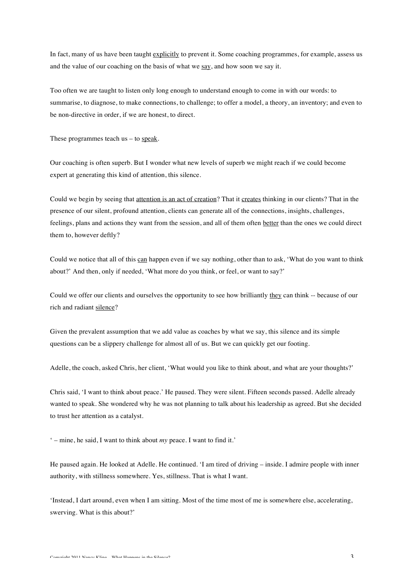In fact, many of us have been taught explicitly to prevent it. Some coaching programmes, for example, assess us and the value of our coaching on the basis of what we say, and how soon we say it.

Too often we are taught to listen only long enough to understand enough to come in with our words: to summarise, to diagnose, to make connections, to challenge; to offer a model, a theory, an inventory; and even to be non-directive in order, if we are honest, to direct.

These programmes teach  $us - to \text{ speak}$ .

Our coaching is often superb. But I wonder what new levels of superb we might reach if we could become expert at generating this kind of attention, this silence.

Could we begin by seeing that attention is an act of creation? That it creates thinking in our clients? That in the presence of our silent, profound attention, clients can generate all of the connections, insights, challenges, feelings, plans and actions they want from the session, and all of them often better than the ones we could direct them to, however deftly?

Could we notice that all of this can happen even if we say nothing, other than to ask, 'What do you want to think about?' And then, only if needed, 'What more do you think, or feel, or want to say?'

Could we offer our clients and ourselves the opportunity to see how brilliantly they can think -- because of our rich and radiant silence?

Given the prevalent assumption that we add value as coaches by what we say, this silence and its simple questions can be a slippery challenge for almost all of us. But we can quickly get our footing.

Adelle, the coach, asked Chris, her client, 'What would you like to think about, and what are your thoughts?'

Chris said, 'I want to think about peace.' He paused. They were silent. Fifteen seconds passed. Adelle already wanted to speak. She wondered why he was not planning to talk about his leadership as agreed. But she decided to trust her attention as a catalyst.

' – mine, he said, I want to think about *my* peace. I want to find it.'

He paused again. He looked at Adelle. He continued. 'I am tired of driving – inside. I admire people with inner authority, with stillness somewhere. Yes, stillness. That is what I want.

'Instead, I dart around, even when I am sitting. Most of the time most of me is somewhere else, accelerating, swerving. What is this about?'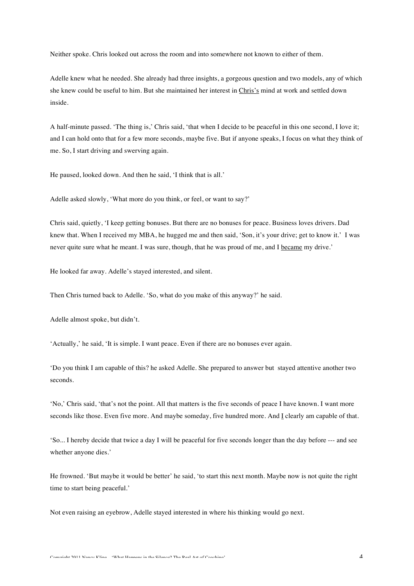Neither spoke. Chris looked out across the room and into somewhere not known to either of them.

Adelle knew what he needed. She already had three insights, a gorgeous question and two models, any of which she knew could be useful to him. But she maintained her interest in Chris's mind at work and settled down inside.

A half-minute passed. 'The thing is,' Chris said, 'that when I decide to be peaceful in this one second, I love it; and I can hold onto that for a few more seconds, maybe five. But if anyone speaks, I focus on what they think of me. So, I start driving and swerving again.

He paused, looked down. And then he said, 'I think that is all.'

Adelle asked slowly, 'What more do you think, or feel, or want to say?'

Chris said, quietly, 'I keep getting bonuses. But there are no bonuses for peace. Business loves drivers. Dad knew that. When I received my MBA, he hugged me and then said, 'Son, it's your drive; get to know it.' I was never quite sure what he meant. I was sure, though, that he was proud of me, and I became my drive.'

He looked far away. Adelle's stayed interested, and silent.

Then Chris turned back to Adelle. 'So, what do you make of this anyway?' he said.

Adelle almost spoke, but didn't.

'Actually,' he said, 'It is simple. I want peace. Even if there are no bonuses ever again.

'Do you think I am capable of this? he asked Adelle. She prepared to answer but stayed attentive another two seconds.

'No,' Chris said, 'that's not the point. All that matters is the five seconds of peace I have known. I want more seconds like those. Even five more. And maybe someday, five hundred more. And I clearly am capable of that.

'So... I hereby decide that twice a day I will be peaceful for five seconds longer than the day before --- and see whether anyone dies.'

He frowned. 'But maybe it would be better' he said, 'to start this next month. Maybe now is not quite the right time to start being peaceful.'

Not even raising an eyebrow, Adelle stayed interested in where his thinking would go next.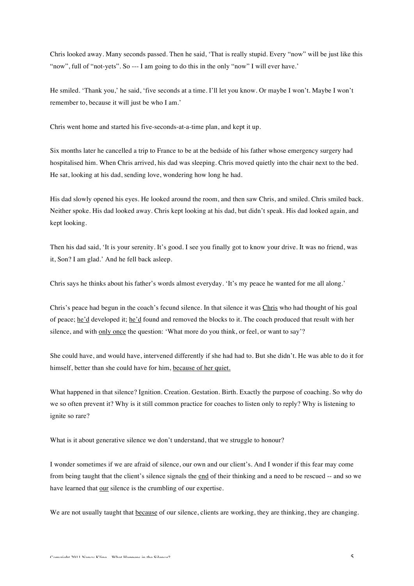Chris looked away. Many seconds passed. Then he said, 'That is really stupid. Every "now" will be just like this "now", full of "not-yets". So --- I am going to do this in the only "now" I will ever have.'

He smiled. 'Thank you,' he said, 'five seconds at a time. I'll let you know. Or maybe I won't. Maybe I won't remember to, because it will just be who I am.'

Chris went home and started his five-seconds-at-a-time plan, and kept it up.

Six months later he cancelled a trip to France to be at the bedside of his father whose emergency surgery had hospitalised him. When Chris arrived, his dad was sleeping. Chris moved quietly into the chair next to the bed. He sat, looking at his dad, sending love, wondering how long he had.

His dad slowly opened his eyes. He looked around the room, and then saw Chris, and smiled. Chris smiled back. Neither spoke. His dad looked away. Chris kept looking at his dad, but didn't speak. His dad looked again, and kept looking.

Then his dad said, 'It is your serenity. It's good. I see you finally got to know your drive. It was no friend, was it, Son? I am glad.' And he fell back asleep.

Chris says he thinks about his father's words almost everyday. 'It's my peace he wanted for me all along.'

Chris's peace had begun in the coach's fecund silence. In that silence it was Chris who had thought of his goal of peace; he'd developed it; he'd found and removed the blocks to it. The coach produced that result with her silence, and with only once the question: 'What more do you think, or feel, or want to say'?

She could have, and would have, intervened differently if she had had to. But she didn't. He was able to do it for himself, better than she could have for him, because of her quiet.

What happened in that silence? Ignition. Creation. Gestation. Birth. Exactly the purpose of coaching. So why do we so often prevent it? Why is it still common practice for coaches to listen only to reply? Why is listening to ignite so rare?

What is it about generative silence we don't understand, that we struggle to honour?

I wonder sometimes if we are afraid of silence, our own and our client's. And I wonder if this fear may come from being taught that the client's silence signals the end of their thinking and a need to be rescued -- and so we have learned that our silence is the crumbling of our expertise.

We are not usually taught that because of our silence, clients are working, they are thinking, they are changing.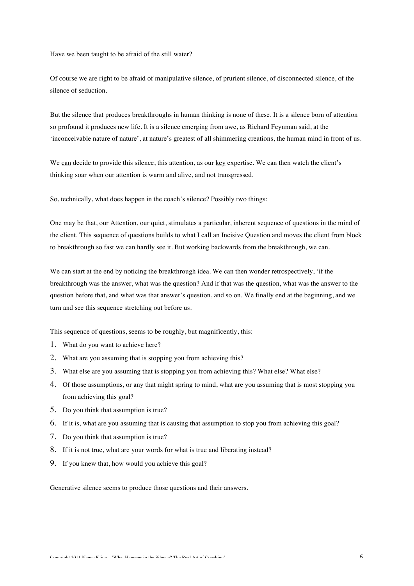Have we been taught to be afraid of the still water?

Of course we are right to be afraid of manipulative silence, of prurient silence, of disconnected silence, of the silence of seduction.

But the silence that produces breakthroughs in human thinking is none of these. It is a silence born of attention so profound it produces new life. It is a silence emerging from awe, as Richard Feynman said, at the 'inconceivable nature of nature', at nature's greatest of all shimmering creations, the human mind in front of us.

We can decide to provide this silence, this attention, as our key expertise. We can then watch the client's thinking soar when our attention is warm and alive, and not transgressed.

So, technically, what does happen in the coach's silence? Possibly two things:

One may be that, our Attention, our quiet, stimulates a particular, inherent sequence of questions in the mind of the client. This sequence of questions builds to what I call an Incisive Question and moves the client from block to breakthrough so fast we can hardly see it. But working backwards from the breakthrough, we can.

We can start at the end by noticing the breakthrough idea. We can then wonder retrospectively, 'if the breakthrough was the answer, what was the question? And if that was the question, what was the answer to the question before that, and what was that answer's question, and so on. We finally end at the beginning, and we turn and see this sequence stretching out before us.

This sequence of questions, seems to be roughly, but magnificently, this:

- 1. What do you want to achieve here?
- 2. What are you assuming that is stopping you from achieving this?
- 3. What else are you assuming that is stopping you from achieving this? What else? What else?
- 4. Of those assumptions, or any that might spring to mind, what are you assuming that is most stopping you from achieving this goal?
- 5. Do you think that assumption is true?
- 6. If it is, what are you assuming that is causing that assumption to stop you from achieving this goal?
- 7. Do you think that assumption is true?
- 8. If it is not true, what are your words for what is true and liberating instead?
- 9. If you knew that, how would you achieve this goal?

Generative silence seems to produce those questions and their answers.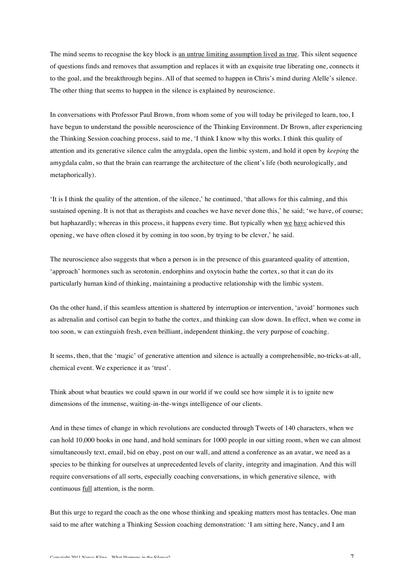The mind seems to recognise the key block is an untrue limiting assumption lived as true. This silent sequence of questions finds and removes that assumption and replaces it with an exquisite true liberating one, connects it to the goal, and the breakthrough begins. All of that seemed to happen in Chris's mind during Alelle's silence. The other thing that seems to happen in the silence is explained by neuroscience.

In conversations with Professor Paul Brown, from whom some of you will today be privileged to learn, too, I have begun to understand the possible neuroscience of the Thinking Environment. Dr Brown, after experiencing the Thinking Session coaching process, said to me, 'I think I know why this works. I think this quality of attention and its generative silence calm the amygdala, open the limbic system, and hold it open by *keeping* the amygdala calm, so that the brain can rearrange the architecture of the client's life (both neurologically, and metaphorically).

'It is I think the quality of the attention, of the silence,' he continued, 'that allows for this calming, and this sustained opening. It is not that as therapists and coaches we have never done this,' he said; 'we have, of course; but haphazardly; whereas in this process, it happens every time. But typically when we have achieved this opening, we have often closed it by coming in too soon, by trying to be clever,' he said.

The neuroscience also suggests that when a person is in the presence of this guaranteed quality of attention, 'approach' hormones such as serotonin, endorphins and oxytocin bathe the cortex, so that it can do its particularly human kind of thinking, maintaining a productive relationship with the limbic system.

On the other hand, if this seamless attention is shattered by interruption or intervention, 'avoid' hormones such as adrenalin and cortisol can begin to bathe the cortex, and thinking can slow down. In effect, when we come in too soon, w can extinguish fresh, even brilliant, independent thinking, the very purpose of coaching.

It seems, then, that the 'magic' of generative attention and silence is actually a comprehensible, no-tricks-at-all, chemical event. We experience it as 'trust'.

Think about what beauties we could spawn in our world if we could see how simple it is to ignite new dimensions of the immense, waiting-in-the-wings intelligence of our clients.

And in these times of change in which revolutions are conducted through Tweets of 140 characters, when we can hold 10,000 books in one hand, and hold seminars for 1000 people in our sitting room, when we can almost simultaneously text, email, bid on ebay, post on our wall, and attend a conference as an avatar, we need as a species to be thinking for ourselves at unprecedented levels of clarity, integrity and imagination. And this will require conversations of all sorts, especially coaching conversations, in which generative silence, with continuous full attention, is the norm.

But this urge to regard the coach as the one whose thinking and speaking matters most has tentacles. One man said to me after watching a Thinking Session coaching demonstration: 'I am sitting here, Nancy, and I am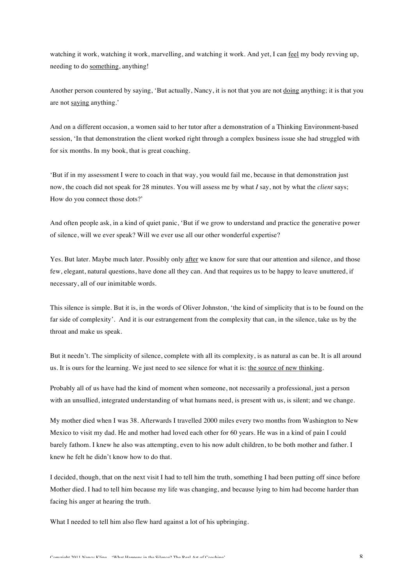watching it work, watching it work, marvelling, and watching it work. And yet, I can feel my body revving up, needing to do something, anything!

Another person countered by saying, 'But actually, Nancy, it is not that you are not doing anything; it is that you are not saying anything.'

And on a different occasion, a women said to her tutor after a demonstration of a Thinking Environment-based session, 'In that demonstration the client worked right through a complex business issue she had struggled with for six months. In my book, that is great coaching.

'But if in my assessment I were to coach in that way, you would fail me, because in that demonstration just now, the coach did not speak for 28 minutes. You will assess me by what *I* say, not by what the *client* says; How do you connect those dots?'

And often people ask, in a kind of quiet panic, 'But if we grow to understand and practice the generative power of silence, will we ever speak? Will we ever use all our other wonderful expertise?

Yes. But later. Maybe much later. Possibly only after we know for sure that our attention and silence, and those few, elegant, natural questions, have done all they can. And that requires us to be happy to leave unuttered, if necessary, all of our inimitable words.

This silence is simple. But it is, in the words of Oliver Johnston, 'the kind of simplicity that is to be found on the far side of complexity'. And it is our estrangement from the complexity that can, in the silence, take us by the throat and make us speak.

But it needn't. The simplicity of silence, complete with all its complexity, is as natural as can be. It is all around us. It is ours for the learning. We just need to see silence for what it is: the source of new thinking.

Probably all of us have had the kind of moment when someone, not necessarily a professional, just a person with an unsullied, integrated understanding of what humans need, is present with us, is silent; and we change.

My mother died when I was 38. Afterwards I travelled 2000 miles every two months from Washington to New Mexico to visit my dad. He and mother had loved each other for 60 years. He was in a kind of pain I could barely fathom. I knew he also was attempting, even to his now adult children, to be both mother and father. I knew he felt he didn't know how to do that.

I decided, though, that on the next visit I had to tell him the truth, something I had been putting off since before Mother died. I had to tell him because my life was changing, and because lying to him had become harder than facing his anger at hearing the truth.

What I needed to tell him also flew hard against a lot of his upbringing.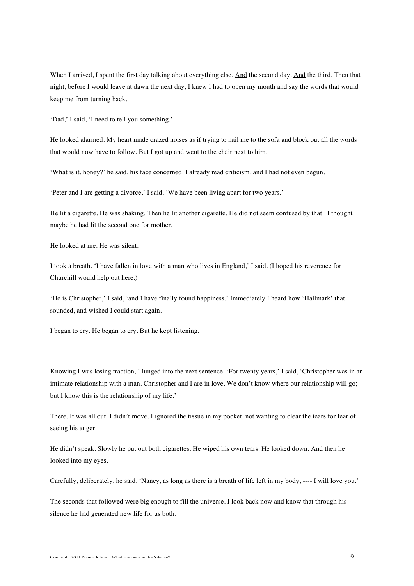When I arrived, I spent the first day talking about everything else. And the second day. And the third. Then that night, before I would leave at dawn the next day, I knew I had to open my mouth and say the words that would keep me from turning back.

'Dad,' I said, 'I need to tell you something.'

He looked alarmed. My heart made crazed noises as if trying to nail me to the sofa and block out all the words that would now have to follow. But I got up and went to the chair next to him.

'What is it, honey?' he said, his face concerned. I already read criticism, and I had not even begun.

'Peter and I are getting a divorce,' I said. 'We have been living apart for two years.'

He lit a cigarette. He was shaking. Then he lit another cigarette. He did not seem confused by that. I thought maybe he had lit the second one for mother.

He looked at me. He was silent.

I took a breath. 'I have fallen in love with a man who lives in England,' I said. (I hoped his reverence for Churchill would help out here.)

'He is Christopher,' I said, 'and I have finally found happiness.' Immediately I heard how 'Hallmark' that sounded, and wished I could start again.

I began to cry. He began to cry. But he kept listening.

Knowing I was losing traction, I lunged into the next sentence. 'For twenty years,' I said, 'Christopher was in an intimate relationship with a man. Christopher and I are in love. We don't know where our relationship will go; but I know this is the relationship of my life.'

There. It was all out. I didn't move. I ignored the tissue in my pocket, not wanting to clear the tears for fear of seeing his anger.

He didn't speak. Slowly he put out both cigarettes. He wiped his own tears. He looked down. And then he looked into my eyes.

Carefully, deliberately, he said, 'Nancy, as long as there is a breath of life left in my body, ---- I will love you.'

The seconds that followed were big enough to fill the universe. I look back now and know that through his silence he had generated new life for us both.